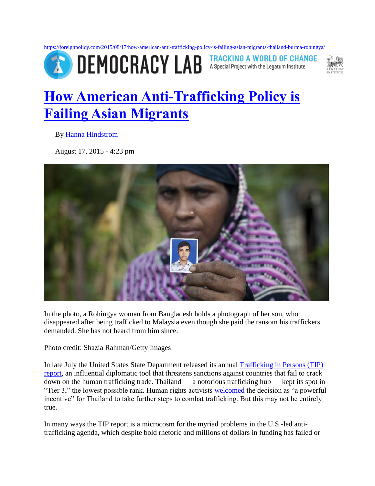<https://foreignpolicy.com/2015/08/17/how-american-anti-trafficking-policy-is-failing-asian-migrants-thailand-burma-rohingya/> **ED DEMOCRACY LAB** 

**TRACKING A WORLD OF CHANGE** A Special Project with the Legatum Institute



## **[How American Anti-Trafficking Policy is](https://foreignpolicy.com/2015/08/17/how-american-anti-trafficking-policy-is-failing-asian-migrants-thailand-burma-rohingya/)  [Failing Asian Migrants](https://foreignpolicy.com/2015/08/17/how-american-anti-trafficking-policy-is-failing-asian-migrants-thailand-burma-rohingya/)**

By [Hanna Hindstrom](https://foreignpolicy.com/author/hanna-hindstrom)

August 17, 2015 - 4:23 pm



In the photo, a Rohingya woman from Bangladesh holds a photograph of her son, who disappeared after being trafficked to Malaysia even though she paid the ransom his traffickers demanded. She has not heard from him since.

Photo credit: Shazia Rahman/Getty Images

In late July the United States State Department released its annual [Trafficking in Persons \(TIP\)](http://www.state.gov/j/tip/rls/tiprpt/)  [report,](http://www.state.gov/j/tip/rls/tiprpt/) an influential diplomatic tool that threatens sanctions against countries that fail to crack down on the human trafficking trade. Thailand — a notorious trafficking hub — kept its spot in "Tier 3," the lowest possible rank. Human rights activists [welcomed](http://www.hrw.org/news/2015/07/27/joint-letter-secretary-state-john-kerry) the decision as "a powerful incentive" for Thailand to take further steps to combat trafficking. But this may not be entirely true.

In many ways the TIP report is a microcosm for the myriad problems in the U.S.-led antitrafficking agenda, which despite bold rhetoric and millions of dollars in funding has failed or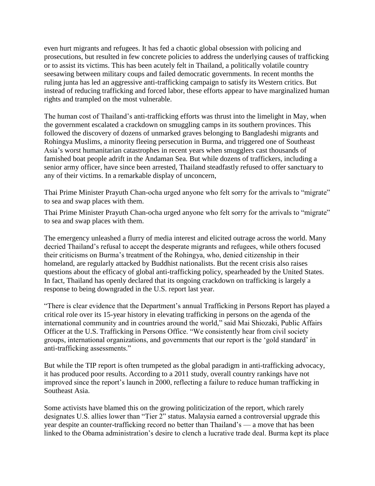even hurt migrants and refugees. It has fed a chaotic global obsession with policing and prosecutions, but resulted in few concrete policies to address the underlying causes of trafficking or to assist its victims. This has been acutely felt in Thailand, a politically volatile country seesawing between military coups and failed democratic governments. In recent months the ruling junta has led an aggressive anti-trafficking campaign to satisfy its Western critics. But instead of reducing trafficking and forced labor, these efforts appear to have marginalized human rights and trampled on the most vulnerable.

The human cost of Thailand's anti-trafficking efforts was thrust into the limelight in May, when the government escalated a crackdown on smuggling camps in its southern provinces. This followed the discovery of dozens of unmarked graves belonging to Bangladeshi migrants and Rohingya Muslims, a minority fleeing persecution in Burma, and triggered one of Southeast Asia's worst humanitarian catastrophes in recent years when smugglers cast thousands of famished boat people adrift in the Andaman Sea. But while dozens of traffickers, including a senior army officer, have since been arrested, Thailand steadfastly refused to offer sanctuary to any of their victims. In a remarkable display of unconcern,

Thai Prime Minister Prayuth Chan-ocha urged anyone who felt sorry for the arrivals to "migrate" to sea and swap places with them.

Thai Prime Minister Prayuth Chan-ocha urged anyone who felt sorry for the arrivals to "migrate" to sea and swap places with them.

The emergency unleashed a flurry of media interest and elicited outrage across the world. Many decried Thailand's refusal to accept the desperate migrants and refugees, while others focused their criticisms on Burma's treatment of the Rohingya, who, denied citizenship in their homeland, are regularly attacked by Buddhist nationalists. But the recent crisis also raises questions about the efficacy of global anti-trafficking policy, spearheaded by the United States. In fact, Thailand has openly declared that its ongoing crackdown on trafficking is largely a response to being downgraded in the U.S. report last year.

"There is clear evidence that the Department's annual Trafficking in Persons Report has played a critical role over its 15-year history in elevating trafficking in persons on the agenda of the international community and in countries around the world," said Mai Shiozaki, Public Affairs Officer at the U.S. Trafficking in Persons Office. "We consistently hear from civil society groups, international organizations, and governments that our report is the 'gold standard' in anti-trafficking assessments."

But while the TIP report is often trumpeted as the global paradigm in anti-trafficking advocacy, it has produced poor results. According to a 2011 study, overall country rankings have not improved since the report's launch in 2000, reflecting a failure to reduce human trafficking in Southeast Asia.

Some activists have blamed this on the growing politicization of the report, which rarely designates U.S. allies lower than "Tier 2" status. Malaysia earned a controversial upgrade this year despite an counter-trafficking record no better than Thailand's — a move that has been linked to the Obama administration's desire to clench a lucrative trade deal. Burma kept its place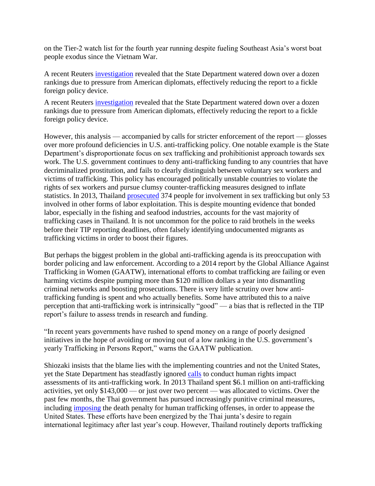on the Tier-2 watch list for the fourth year running despite fueling Southeast Asia's worst boat people exodus since the Vietnam War.

A recent Reuters [investigation](http://www.reuters.com/article/2015/08/03/us-usa-humantrafficking-disputes-special-idUSKCN0Q821Y20150803) revealed that the State Department watered down over a dozen rankings due to pressure from American diplomats, effectively reducing the report to a fickle foreign policy device.

A recent Reuters [investigation](http://www.reuters.com/article/2015/08/03/us-usa-humantrafficking-disputes-special-idUSKCN0Q821Y20150803) revealed that the State Department watered down over a dozen rankings due to pressure from American diplomats, effectively reducing the report to a fickle foreign policy device.

However, this analysis — accompanied by calls for stricter enforcement of the report — glosses over more profound deficiencies in U.S. anti-trafficking policy. One notable example is the State Department's disproportionate focus on sex trafficking and prohibitionist approach towards sex work. The U.S. government continues to deny anti-trafficking funding to any countries that have decriminalized prostitution, and fails to clearly distinguish between voluntary sex workers and victims of trafficking. This policy has encouraged politically unstable countries to violate the rights of sex workers and pursue clumsy counter-trafficking measures designed to inflate statistics. In 2013, Thailand [prosecuted](http://www.state.gov/j/tip/rls/tiprpt/countries/2014/226832.htm) 374 people for involvement in sex trafficking but only 53 involved in other forms of labor exploitation. This is despite mounting evidence that bonded labor, especially in the fishing and seafood industries, accounts for the vast majority of trafficking cases in Thailand. It is not uncommon for the police to raid brothels in the weeks before their TIP reporting deadlines, often falsely identifying undocumented migrants as trafficking victims in order to boost their figures.

But perhaps the biggest problem in the global anti-trafficking agenda is its preoccupation with border policing and law enforcement. According to a 2014 report by the Global Alliance Against Trafficking in Women (GAATW), international efforts to combat trafficking are failing or even harming victims despite pumping more than \$120 million dollars a year into dismantling criminal networks and boosting prosecutions. There is very little scrutiny over how antitrafficking funding is spent and who actually benefits. Some have attributed this to a naive perception that anti-trafficking work is intrinsically "good" — a bias that is reflected in the TIP report's failure to assess trends in research and funding.

"In recent years governments have rushed to spend money on a range of poorly designed initiatives in the hope of avoiding or moving out of a low ranking in the U.S. government's yearly Trafficking in Persons Report," warns the GAATW publication.

Shiozaki insists that the blame lies with the implementing countries and not the United States, yet the State Department has steadfastly ignored [calls](http://www.gaatw.org/statements/TIP_Letter_FINAL.pdf) to conduct human rights impact assessments of its anti-trafficking work. In 2013 Thailand spent \$6.1 million on anti-trafficking activities, yet only \$143,000 — or just over two percent — was allocated to victims. Over the past few months, the Thai government has pursued increasingly punitive criminal measures, including [imposing](http://www.reuters.com/article/2015/03/26/us-thailand-trafficking-idUSKBN0MM10V20150326) the death penalty for human trafficking offenses, in order to appease the United States. These efforts have been energized by the Thai junta's desire to regain international legitimacy after last year's coup. However, Thailand routinely deports trafficking